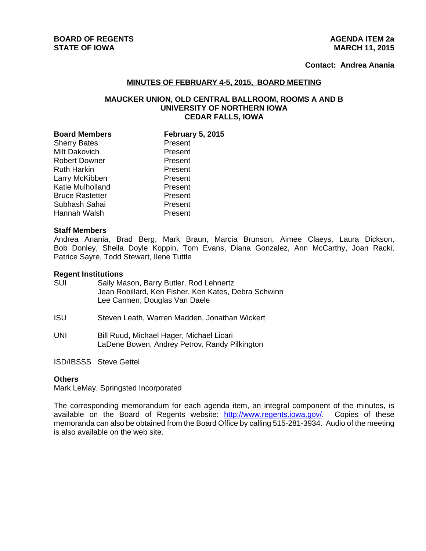# **BOARD OF REGENTS AGENUS AGENDA ITEM 2a STATE OF IOWA** MARCH 11, 2015

# **Contact: Andrea Anania**

## **MINUTES OF FEBRUARY 4-5, 2015, BOARD MEETING**

## **MAUCKER UNION, OLD CENTRAL BALLROOM, ROOMS A AND B UNIVERSITY OF NORTHERN IOWA CEDAR FALLS, IOWA**

| <b>Board Members</b>   | <b>February 5, 2015</b> |
|------------------------|-------------------------|
| <b>Sherry Bates</b>    | Present                 |
| Milt Dakovich          | Present                 |
| <b>Robert Downer</b>   | Present                 |
| <b>Ruth Harkin</b>     | Present                 |
| Larry McKibben         | Present                 |
| Katie Mulholland       | Present                 |
| <b>Bruce Rastetter</b> | Present                 |
| Subhash Sahai          | Present                 |
| Hannah Walsh           | Present                 |

#### **Staff Members**

Andrea Anania, Brad Berg, Mark Braun, Marcia Brunson, Aimee Claeys, Laura Dickson, Bob Donley, Sheila Doyle Koppin, Tom Evans, Diana Gonzalez, Ann McCarthy, Joan Racki, Patrice Sayre, Todd Stewart, Ilene Tuttle

#### **Regent Institutions**

| SUI        | Sally Mason, Barry Butler, Rod Lehnertz<br>Jean Robillard, Ken Fisher, Ken Kates, Debra Schwinn<br>Lee Carmen, Douglas Van Daele |
|------------|----------------------------------------------------------------------------------------------------------------------------------|
| <b>ISU</b> | Steven Leath, Warren Madden, Jonathan Wickert                                                                                    |

UNI Bill Ruud, Michael Hager, Michael Licari LaDene Bowen, Andrey Petrov, Randy Pilkington

ISD/IBSSS Steve Gettel

### **Others**

Mark LeMay, Springsted Incorporated

The corresponding memorandum for each agenda item, an integral component of the minutes, is available on the Board of Regents website: http://www.regents.iowa.gov/. Copies of these memoranda can also be obtained from the Board Office by calling 515-281-3934. Audio of the meeting is also available on the web site.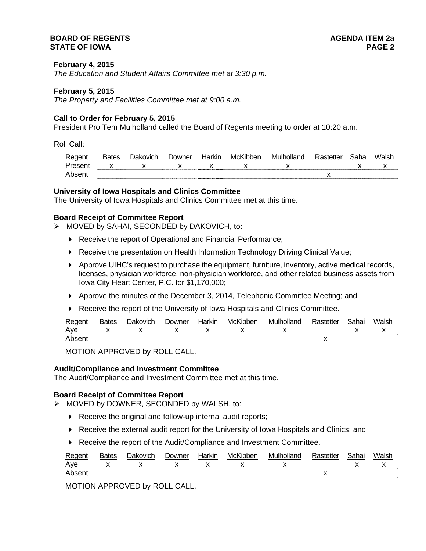## **BOARD OF REGENTS** AGENERAL BOARD OF REGENTS **STATE OF IOWA PAGE 2**

## **February 4, 2015**

*The Education and Student Affairs Committee met at 3:30 p.m.* 

#### **February 5, 2015**

*The Property and Facilities Committee met at 9:00 a.m.* 

#### **Call to Order for February 5, 2015**

President Pro Tem Mulholland called the Board of Regents meeting to order at 10:20 a.m.

Roll Call:

| Regent  | <b>Bates</b> | )akovich | <b>Jowner</b> | Harkın | McKibben | Mulholland | ີ <sub>ີ</sub> າhai | Walsh |
|---------|--------------|----------|---------------|--------|----------|------------|---------------------|-------|
| Present |              |          |               |        |          |            |                     |       |
| Abser   |              |          |               |        |          |            |                     |       |

## **University of Iowa Hospitals and Clinics Committee**

The University of Iowa Hospitals and Clinics Committee met at this time.

## **Board Receipt of Committee Report**

- MOVED by SAHAI, SECONDED by DAKOVICH, to:
	- ▶ Receive the report of Operational and Financial Performance;
	- ▶ Receive the presentation on Health Information Technology Driving Clinical Value;
	- Approve UIHC's request to purchase the equipment, furniture, inventory, active medical records, licenses, physician workforce, non-physician workforce, and other related business assets from Iowa City Heart Center, P.C. for \$1,170,000;
	- $\blacktriangleright$  Approve the minutes of the December 3, 2014, Telephonic Committee Meeting; and
	- Receive the report of the University of Iowa Hospitals and Clinics Committee.

| Regent | 3ates        | Jakovich | Downer | Harkir       | McKibber | Mulholland |    |  |  |
|--------|--------------|----------|--------|--------------|----------|------------|----|--|--|
| Aye    | $\mathsf{x}$ |          |        | $\mathsf{X}$ |          |            |    |  |  |
| Abser  |              |          |        |              |          |            | ,, |  |  |

MOTION APPROVED by ROLL CALL.

#### **Audit/Compliance and Investment Committee**

The Audit/Compliance and Investment Committee met at this time.

#### **Board Receipt of Committee Report**

- MOVED by DOWNER, SECONDED by WALSH, to:
	- ▶ Receive the original and follow-up internal audit reports;
	- Receive the external audit report for the University of Iowa Hospitals and Clinics; and
	- Receive the report of the Audit/Compliance and Investment Committee.

| Regent | 3ates | Jakovich | Jowner | Harkin | McKibber | Mulholland |    | Sahai | Walsł |  |
|--------|-------|----------|--------|--------|----------|------------|----|-------|-------|--|
| Aye    |       |          |        |        |          |            |    |       |       |  |
| Absen  |       |          |        |        |          |            | ,, |       |       |  |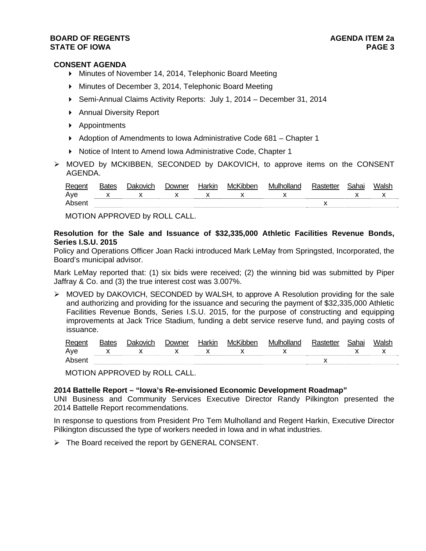## **BOARD OF REGENTS AGENER AGENERAL LIMIT CONTROL STATE OF IOWA** PAGE 3

## **CONSENT AGENDA**

- Minutes of November 14, 2014, Telephonic Board Meeting
- Minutes of December 3, 2014, Telephonic Board Meeting
- Semi-Annual Claims Activity Reports: July 1, 2014 December 31, 2014
- ▶ Annual Diversity Report
- Appointments
- ▶ Adoption of Amendments to Iowa Administrative Code 681 Chapter 1
- ▶ Notice of Intent to Amend Iowa Administrative Code, Chapter 1
- MOVED by MCKIBBEN, SECONDED by DAKOVICH, to approve items on the CONSENT AGENDA.

| Regen | ⊰ates | ייט<br>kovich | Jowner | Harkır | McKibben | Mulholland | Sahai | Walsh |
|-------|-------|---------------|--------|--------|----------|------------|-------|-------|
| Aye   |       |               |        |        |          |            |       |       |
| Ahear |       |               |        |        |          |            |       |       |

MOTION APPROVED by ROLL CALL.

## **Resolution for the Sale and Issuance of \$32,335,000 Athletic Facilities Revenue Bonds, Series I.S.U. 2015**

Policy and Operations Officer Joan Racki introduced Mark LeMay from Springsted, Incorporated, the Board's municipal advisor.

Mark LeMay reported that: (1) six bids were received; (2) the winning bid was submitted by Piper Jaffray & Co. and (3) the true interest cost was 3.007%.

 MOVED by DAKOVICH, SECONDED by WALSH, to approve A Resolution providing for the sale and authorizing and providing for the issuance and securing the payment of \$32,335,000 Athletic Facilities Revenue Bonds, Series I.S.U. 2015, for the purpose of constructing and equipping improvements at Jack Trice Stadium, funding a debt service reserve fund, and paying costs of issuance.

| Regent | Bates | ובו<br>ovich | )owner | 'kıı | MC. | MI |  | 'Valsı |
|--------|-------|--------------|--------|------|-----|----|--|--------|
| Aye    |       |              |        |      |     |    |  | ,,     |
| Ahse   |       |              |        |      |     |    |  |        |

MOTION APPROVED by ROLL CALL.

## **2014 Battelle Report – "Iowa's Re-envisioned Economic Development Roadmap"**

UNI Business and Community Services Executive Director Randy Pilkington presented the 2014 Battelle Report recommendations.

In response to questions from President Pro Tem Mulholland and Regent Harkin, Executive Director Pilkington discussed the type of workers needed in Iowa and in what industries.

 $\triangleright$  The Board received the report by GENERAL CONSENT.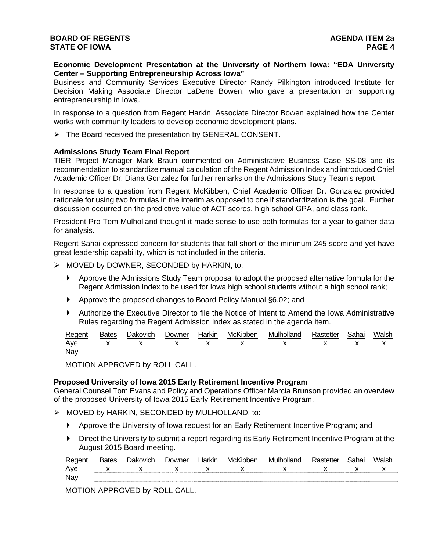## **Economic Development Presentation at the University of Northern Iowa: "EDA University Center – Supporting Entrepreneurship Across Iowa"**

Business and Community Services Executive Director Randy Pilkington introduced Institute for Decision Making Associate Director LaDene Bowen, who gave a presentation on supporting entrepreneurship in Iowa.

In response to a question from Regent Harkin, Associate Director Bowen explained how the Center works with community leaders to develop economic development plans.

 $\triangleright$  The Board received the presentation by GENERAL CONSENT.

## **Admissions Study Team Final Report**

TIER Project Manager Mark Braun commented on Administrative Business Case SS-08 and its recommendation to standardize manual calculation of the Regent Admission Index and introduced Chief Academic Officer Dr. Diana Gonzalez for further remarks on the Admissions Study Team's report.

In response to a question from Regent McKibben, Chief Academic Officer Dr. Gonzalez provided rationale for using two formulas in the interim as opposed to one if standardization is the goal. Further discussion occurred on the predictive value of ACT scores, high school GPA, and class rank.

President Pro Tem Mulholland thought it made sense to use both formulas for a year to gather data for analysis.

Regent Sahai expressed concern for students that fall short of the minimum 245 score and yet have great leadership capability, which is not included in the criteria.

- $\triangleright$  MOVED by DOWNER, SECONDED by HARKIN, to:
	- Approve the Admissions Study Team proposal to adopt the proposed alternative formula for the Regent Admission Index to be used for Iowa high school students without a high school rank;
	- ▶ Approve the proposed changes to Board Policy Manual §6.02; and
	- Authorize the Executive Director to file the Notice of Intent to Amend the Iowa Administrative Rules regarding the Regent Admission Index as stated in the agenda item.

| Regent | <b>Bates</b> | Jakovich    | Downer | Harkir | McKibber | Mulholland      | Sahai |  |
|--------|--------------|-------------|--------|--------|----------|-----------------|-------|--|
| Ave    |              | $X$ x $X$ x |        |        |          | $X$ x $X$ x $X$ |       |  |
| Nay    |              |             |        |        |          |                 |       |  |

MOTION APPROVED by ROLL CALL.

#### **Proposed University of Iowa 2015 Early Retirement Incentive Program**

General Counsel Tom Evans and Policy and Operations Officer Marcia Brunson provided an overview of the proposed University of Iowa 2015 Early Retirement Incentive Program.

- > MOVED by HARKIN, SECONDED by MULHOLLAND, to:
	- Approve the University of Iowa request for an Early Retirement Incentive Program; and
	- Direct the University to submit a report regarding its Early Retirement Incentive Program at the August 2015 Board meeting.

| Regen | וביו | - 311 | <b>MCL</b> | \\/II |     | ıа |     |
|-------|------|-------|------------|-------|-----|----|-----|
| Ave   | v    |       |            |       | . . |    | . . |
| Nay   |      |       |            |       |     |    |     |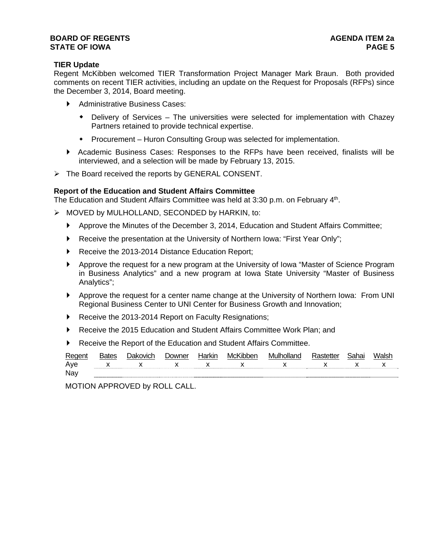## **BOARD OF REGENTS AGENER AGENERAL LIMIT CONTROL STATE OF IOWA** PAGE 5

# **TIER Update**

Regent McKibben welcomed TIER Transformation Project Manager Mark Braun. Both provided comments on recent TIER activities, including an update on the Request for Proposals (RFPs) since the December 3, 2014, Board meeting.

- Administrative Business Cases:
	- Delivery of Services The universities were selected for implementation with Chazey Partners retained to provide technical expertise.
	- Procurement Huron Consulting Group was selected for implementation.
- Academic Business Cases: Responses to the RFPs have been received, finalists will be interviewed, and a selection will be made by February 13, 2015.
- $\triangleright$  The Board received the reports by GENERAL CONSENT.

## **Report of the Education and Student Affairs Committee**

The Education and Student Affairs Committee was held at 3:30 p.m. on February 4th.

- $\triangleright$  MOVED by MULHOLLAND, SECONDED by HARKIN, to:
	- Approve the Minutes of the December 3, 2014, Education and Student Affairs Committee;
	- ▶ Receive the presentation at the University of Northern Iowa: "First Year Only";
	- Receive the 2013-2014 Distance Education Report;
	- Approve the request for a new program at the University of Iowa "Master of Science Program in Business Analytics" and a new program at Iowa State University "Master of Business Analytics";
	- Approve the request for a center name change at the University of Northern Iowa: From UNI Regional Business Center to UNI Center for Business Growth and Innovation;
	- Receive the 2013-2014 Report on Faculty Resignations;
	- Receive the 2015 Education and Student Affairs Committee Work Plan; and
	- Receive the Report of the Education and Student Affairs Committee.

| Regent | <b>Bates</b> | Dakovich     | <i>D</i> owner | Harkin | McKibben | Mulholland | Rastetter | Sahai | Walsh |
|--------|--------------|--------------|----------------|--------|----------|------------|-----------|-------|-------|
| Aye    |              | $\mathbf{x}$ |                |        |          |            |           |       |       |
| Nay    |              |              |                |        |          |            |           |       |       |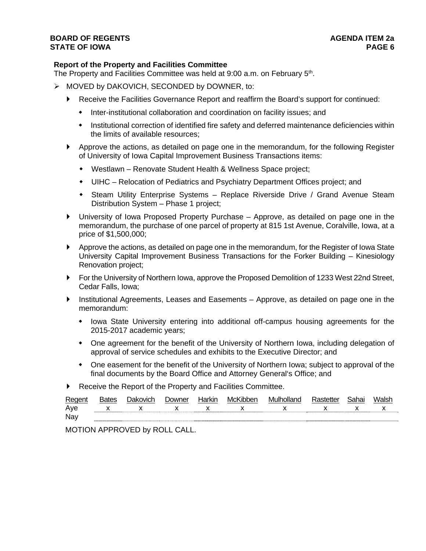## **BOARD OF REGENTS AGENER AGENERAL LIMIT CONTROL STATE OF IOWA PAGE 6**

# **Report of the Property and Facilities Committee**

The Property and Facilities Committee was held at 9:00 a.m. on February 5th.

- $\triangleright$  MOVED by DAKOVICH, SECONDED by DOWNER, to:
	- Receive the Facilities Governance Report and reaffirm the Board's support for continued:
		- Inter-institutional collaboration and coordination on facility issues; and
		- $\bullet$  Institutional correction of identified fire safety and deferred maintenance deficiencies within the limits of available resources;
	- Approve the actions, as detailed on page one in the memorandum, for the following Register of University of Iowa Capital Improvement Business Transactions items:
		- Westlawn Renovate Student Health & Wellness Space project;
		- UIHC Relocation of Pediatrics and Psychiatry Department Offices project; and
		- Steam Utility Enterprise Systems Replace Riverside Drive / Grand Avenue Steam Distribution System – Phase 1 project;
	- University of Iowa Proposed Property Purchase Approve, as detailed on page one in the memorandum, the purchase of one parcel of property at 815 1st Avenue, Coralville, Iowa, at a price of \$1,500,000;
	- Approve the actions, as detailed on page one in the memorandum, for the Register of Iowa State University Capital Improvement Business Transactions for the Forker Building – Kinesiology Renovation project;
	- ▶ For the University of Northern Iowa, approve the Proposed Demolition of 1233 West 22nd Street, Cedar Falls, Iowa;
	- Institutional Agreements, Leases and Easements Approve, as detailed on page one in the memorandum:
		- Iowa State University entering into additional off-campus housing agreements for the 2015-2017 academic years;
		- One agreement for the benefit of the University of Northern Iowa, including delegation of approval of service schedules and exhibits to the Executive Director; and
		- One easement for the benefit of the University of Northern Iowa; subject to approval of the final documents by the Board Office and Attorney General's Office; and
	- Receive the Report of the Property and Facilities Committee.

| Regent | <b>Bates</b> | <b>Dakovich</b> | า∩wner | Harkir | McKibber                                                                                                                                                                                                                                                                                         | Mulholland                  |  |              |
|--------|--------------|-----------------|--------|--------|--------------------------------------------------------------------------------------------------------------------------------------------------------------------------------------------------------------------------------------------------------------------------------------------------|-----------------------------|--|--------------|
| Aye    |              | $X$ x $X$ x x   |        |        | $\mathsf{X}$ and $\mathsf{X}$ and $\mathsf{X}$ are $\mathsf{X}$ and $\mathsf{X}$ and $\mathsf{X}$ are $\mathsf{X}$ and $\mathsf{X}$ are $\mathsf{X}$ and $\mathsf{X}$ are $\mathsf{X}$ and $\mathsf{X}$ are $\mathsf{X}$ and $\mathsf{X}$ are $\mathsf{X}$ and $\mathsf{X}$ are $\mathsf{X}$ and | $\mathsf{X}$ x $\mathsf{X}$ |  | $\mathsf{X}$ |
| Nay    |              |                 |        |        |                                                                                                                                                                                                                                                                                                  |                             |  |              |